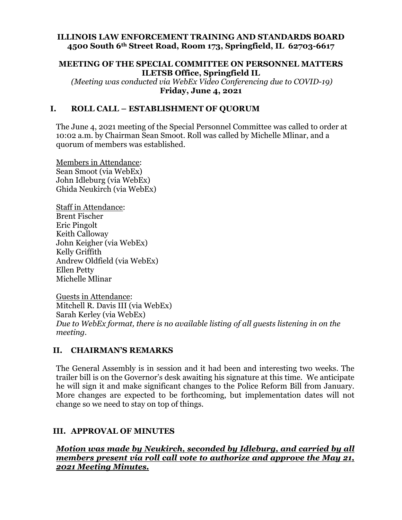#### **ILLINOIS LAW ENFORCEMENT TRAINING AND STANDARDS BOARD 4500 South 6th Street Road, Room 173, Springfield, IL 62703-6617**

#### **MEETING OF THE SPECIAL COMMITTEE ON PERSONNEL MATTERS ILETSB Office, Springfield IL**

 *(Meeting was conducted via WebEx Video Conferencing due to COVID-19)*  **Friday, June 4, 2021** 

## **I. ROLL CALL – ESTABLISHMENT OF QUORUM**

The June 4, 2021 meeting of the Special Personnel Committee was called to order at 10:02 a.m. by Chairman Sean Smoot. Roll was called by Michelle Mlinar, and a quorum of members was established.

Members in Attendance: Sean Smoot (via WebEx) John Idleburg (via WebEx) Ghida Neukirch (via WebEx)

Staff in Attendance: Brent Fischer Eric Pingolt Keith Calloway John Keigher (via WebEx) Kelly Griffith Andrew Oldfield (via WebEx) Ellen Petty Michelle Mlinar

Guests in Attendance: Mitchell R. Davis III (via WebEx) Sarah Kerley (via WebEx) *Due to WebEx format, there is no available listing of all guests listening in on the meeting.* 

#### **II. CHAIRMAN'S REMARKS**

The General Assembly is in session and it had been and interesting two weeks. The trailer bill is on the Governor's desk awaiting his signature at this time. We anticipate he will sign it and make significant changes to the Police Reform Bill from January. More changes are expected to be forthcoming, but implementation dates will not change so we need to stay on top of things.

#### **III. APPROVAL OF MINUTES**

*Motion was made by Neukirch, seconded by Idleburg, and carried by all members present via roll call vote to authorize and approve the May 21, 2021 Meeting Minutes.*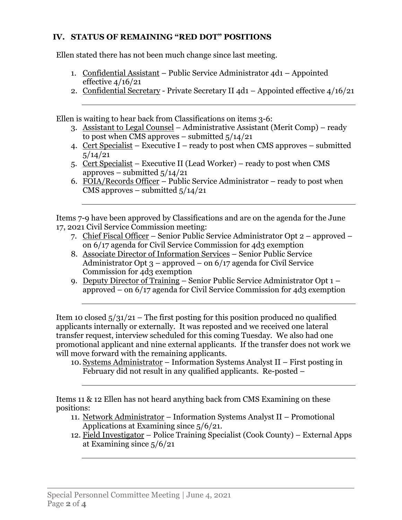## **IV. STATUS OF REMAINING "RED DOT" POSITIONS**

Ellen stated there has not been much change since last meeting.

- 1. Confidential Assistant Public Service Administrator 4d1 Appointed effective  $4/16/21$
- 2. Confidential Secretary Private Secretary II 4d1 Appointed effective 4/16/21

Ellen is waiting to hear back from Classifications on items 3-6:

- 3. Assistant to Legal Counsel Administrative Assistant (Merit Comp) ready to post when CMS approves – submitted  $\frac{5}{14/21}$
- 4. Cert Specialist Executive I ready to post when CMS approves submitted  $5/14/21$
- 5. Cert Specialist Executive II (Lead Worker) ready to post when CMS approves – submitted  $5/14/21$
- 6. FOIA/Records Officer Public Service Administrator ready to post when CMS approves – submitted  $5/14/21$

Items 7-9 have been approved by Classifications and are on the agenda for the June 17, 2021 Civil Service Commission meeting:

- 7. Chief Fiscal Officer Senior Public Service Administrator Opt 2 approved on 6/17 agenda for Civil Service Commission for 4d3 exemption
- 8. Associate Director of Information Services Senior Public Service Administrator Opt  $3$  – approved – on  $6/17$  agenda for Civil Service Commission for 4d3 exemption
- 9. Deputy Director of Training Senior Public Service Administrator Opt 1 approved – on 6/17 agenda for Civil Service Commission for 4d3 exemption

Item 10 closed  $\frac{5}{31/21}$  – The first posting for this position produced no qualified applicants internally or externally. It was reposted and we received one lateral transfer request, interview scheduled for this coming Tuesday. We also had one promotional applicant and nine external applicants. If the transfer does not work we will move forward with the remaining applicants.

10. Systems Administrator – Information Systems Analyst II – First posting in February did not result in any qualified applicants. Re-posted –

Items 11 & 12 Ellen has not heard anything back from CMS Examining on these positions:

- 11. Network Administrator Information Systems Analyst II Promotional Applications at Examining since 5/6/21.
- 12. Field Investigator Police Training Specialist (Cook County) External Apps at Examining since 5/6/21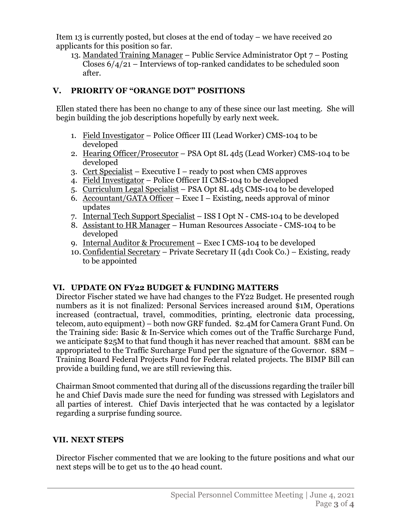Item 13 is currently posted, but closes at the end of today – we have received 20 applicants for this position so far.

13. Mandated Training Manager – Public Service Administrator Opt 7 – Posting Closes  $6/4/21$  – Interviews of top-ranked candidates to be scheduled soon after.

## **V. PRIORITY OF "ORANGE DOT" POSITIONS**

Ellen stated there has been no change to any of these since our last meeting. She will begin building the job descriptions hopefully by early next week.

- 1. Field Investigator Police Officer III (Lead Worker) CMS-104 to be developed
- 2. Hearing Officer/Prosecutor PSA Opt 8L 4d5 (Lead Worker) CMS-104 to be developed
- 3. Cert Specialist Executive I ready to post when CMS approves
- 4. Field Investigator Police Officer II CMS-104 to be developed
- 5. Curriculum Legal Specialist PSA Opt 8L 4d5 CMS-104 to be developed
- 6. Accountant/GATA Officer Exec I Existing, needs approval of minor updates
- 7. Internal Tech Support Specialist ISS I Opt N CMS-104 to be developed
- 8. Assistant to HR Manager Human Resources Associate CMS-104 to be developed
- 9. Internal Auditor & Procurement Exec I CMS-104 to be developed
- 10. Confidential Secretary Private Secretary II (4d1 Cook Co.) Existing, ready to be appointed

# **VI. UPDATE ON FY22 BUDGET & FUNDING MATTERS**

Director Fischer stated we have had changes to the FY22 Budget. He presented rough numbers as it is not finalized: Personal Services increased around \$1M, Operations increased (contractual, travel, commodities, printing, electronic data processing, telecom, auto equipment) – both now GRF funded. \$2.4M for Camera Grant Fund. On the Training side: Basic & In-Service which comes out of the Traffic Surcharge Fund, we anticipate \$25M to that fund though it has never reached that amount. \$8M can be appropriated to the Traffic Surcharge Fund per the signature of the Governor. \$8M – Training Board Federal Projects Fund for Federal related projects. The BIMP Bill can provide a building fund, we are still reviewing this.

Chairman Smoot commented that during all of the discussions regarding the trailer bill he and Chief Davis made sure the need for funding was stressed with Legislators and all parties of interest. Chief Davis interjected that he was contacted by a legislator regarding a surprise funding source.

## **VII. NEXT STEPS**

Director Fischer commented that we are looking to the future positions and what our next steps will be to get us to the 40 head count.